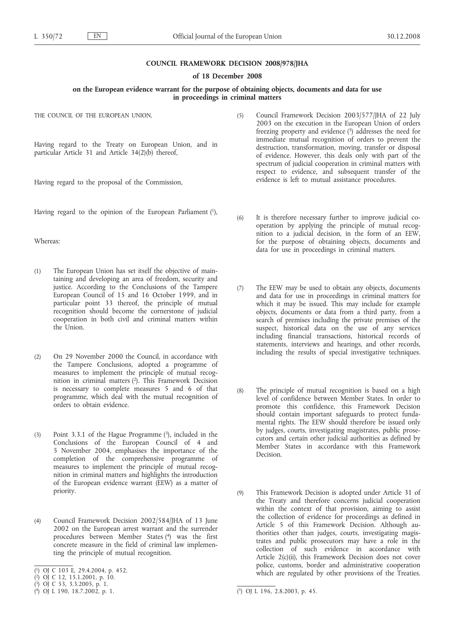#### **COUNCIL FRAMEWORK DECISION 2008/978/JHA**

#### **of 18 December 2008**

#### **on the European evidence warrant for the purpose of obtaining objects, documents and data for use in proceedings in criminal matters**

THE COUNCIL OF THE EUROPEAN UNION,

Having regard to the Treaty on European Union, and in particular Article 31 and Article 34(2)(b) thereof,

Having regard to the proposal of the Commission,

Having regard to the opinion of the European Parliament (1),

Whereas:

- (1) The European Union has set itself the objective of maintaining and developing an area of freedom, security and justice. According to the Conclusions of the Tampere European Council of 15 and 16 October 1999, and in particular point 33 thereof, the principle of mutual recognition should become the cornerstone of judicial cooperation in both civil and criminal matters within the Union.
- (2) On 29 November 2000 the Council, in accordance with the Tampere Conclusions, adopted a programme of measures to implement the principle of mutual recognition in criminal matters (2). This Framework Decision is necessary to complete measures 5 and 6 of that programme, which deal with the mutual recognition of orders to obtain evidence.
- (3) Point 3.3.1 of the Hague Programme (3), included in the Conclusions of the European Council of 4 and 5 November 2004, emphasises the importance of the completion of the comprehensive programme of measures to implement the principle of mutual recognition in criminal matters and highlights the introduction of the European evidence warrant (EEW) as a matter of priority.
- (4) Council Framework Decision 2002/584/JHA of 13 June 2002 on the European arrest warrant and the surrender procedures between Member States (4) was the first concrete measure in the field of criminal law implementing the principle of mutual recognition.
- (5) Council Framework Decision 2003/577/JHA of 22 July 2003 on the execution in the European Union of orders freezing property and evidence  $(5)$  addresses the need for immediate mutual recognition of orders to prevent the destruction, transformation, moving, transfer or disposal of evidence. However, this deals only with part of the spectrum of judicial cooperation in criminal matters with respect to evidence, and subsequent transfer of the evidence is left to mutual assistance procedures.
- (6) It is therefore necessary further to improve judicial cooperation by applying the principle of mutual recognition to a judicial decision, in the form of an EEW, for the purpose of obtaining objects, documents and data for use in proceedings in criminal matters.
- (7) The EEW may be used to obtain any objects, documents and data for use in proceedings in criminal matters for which it may be issued. This may include for example objects, documents or data from a third party, from a search of premises including the private premises of the suspect, historical data on the use of any services including financial transactions, historical records of statements, interviews and hearings, and other records, including the results of special investigative techniques.
- (8) The principle of mutual recognition is based on a high level of confidence between Member States. In order to promote this confidence, this Framework Decision should contain important safeguards to protect fundamental rights. The EEW should therefore be issued only by judges, courts, investigating magistrates, public prosecutors and certain other judicial authorities as defined by Member States in accordance with this Framework Decision.
- (9) This Framework Decision is adopted under Article 31 of the Treaty and therefore concerns judicial cooperation within the context of that provision, aiming to assist the collection of evidence for proceedings as defined in Article 5 of this Framework Decision. Although authorities other than judges, courts, investigating magistrates and public prosecutors may have a role in the collection of such evidence in accordance with Article 2(c)(ii), this Framework Decision does not cover police, customs, border and administrative cooperation which are regulated by other provisions of the Treaties.

<sup>(</sup> 1) OJ C 103 E, 29.4.2004, p. 452.

<sup>(</sup> 2) OJ C 12, 15.1.2001, p. 10.

<sup>(</sup> 3) OJ C 53, 3.3.2005, p. 1.

<sup>(</sup> 4) OJ L 190, 18.7.2002, p. 1. (

 $\overline{(^5)}$  OJ L 196, 2.8.2003, p. 45.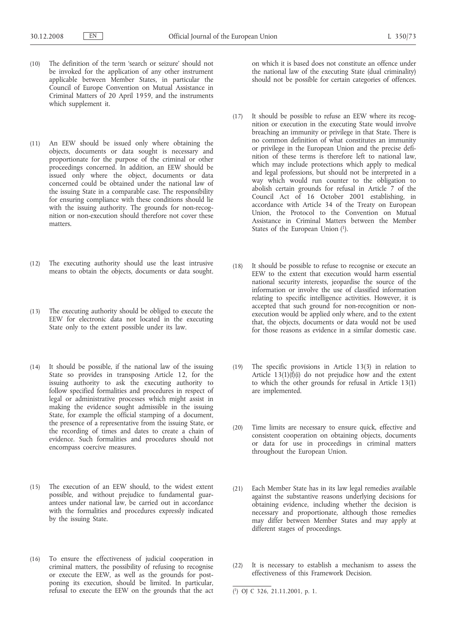- (10) The definition of the term 'search or seizure' should not be invoked for the application of any other instrument applicable between Member States, in particular the Council of Europe Convention on Mutual Assistance in Criminal Matters of 20 April 1959, and the instruments which supplement it.
- (11) An EEW should be issued only where obtaining the objects, documents or data sought is necessary and proportionate for the purpose of the criminal or other proceedings concerned. In addition, an EEW should be issued only where the object, documents or data concerned could be obtained under the national law of the issuing State in a comparable case. The responsibility for ensuring compliance with these conditions should lie with the issuing authority. The grounds for non-recognition or non-execution should therefore not cover these matters.
- (12) The executing authority should use the least intrusive means to obtain the objects, documents or data sought.
- (13) The executing authority should be obliged to execute the EEW for electronic data not located in the executing State only to the extent possible under its law.
- (14) It should be possible, if the national law of the issuing State so provides in transposing Article 12, for the issuing authority to ask the executing authority to follow specified formalities and procedures in respect of legal or administrative processes which might assist in making the evidence sought admissible in the issuing State, for example the official stamping of a document, the presence of a representative from the issuing State, or the recording of times and dates to create a chain of evidence. Such formalities and procedures should not encompass coercive measures.
- (15) The execution of an EEW should, to the widest extent possible, and without prejudice to fundamental guarantees under national law, be carried out in accordance with the formalities and procedures expressly indicated by the issuing State.
- (16) To ensure the effectiveness of judicial cooperation in criminal matters, the possibility of refusing to recognise or execute the EEW, as well as the grounds for postponing its execution, should be limited. In particular, refusal to execute the EEW on the grounds that the act

on which it is based does not constitute an offence under the national law of the executing State (dual criminality) should not be possible for certain categories of offences.

- (17) It should be possible to refuse an EEW where its recognition or execution in the executing State would involve breaching an immunity or privilege in that State. There is no common definition of what constitutes an immunity or privilege in the European Union and the precise definition of these terms is therefore left to national law, which may include protections which apply to medical and legal professions, but should not be interpreted in a way which would run counter to the obligation to abolish certain grounds for refusal in Article 7 of the Council Act of 16 October 2001 establishing, in accordance with Article 34 of the Treaty on European Union, the Protocol to the Convention on Mutual Assistance in Criminal Matters between the Member States of the European Union (1).
- (18) It should be possible to refuse to recognise or execute an EEW to the extent that execution would harm essential national security interests, jeopardise the source of the information or involve the use of classified information relating to specific intelligence activities. However, it is accepted that such ground for non-recognition or nonexecution would be applied only where, and to the extent that, the objects, documents or data would not be used for those reasons as evidence in a similar domestic case.
- (19) The specific provisions in Article 13(3) in relation to Article  $13(1)(f)(i)$  do not prejudice how and the extent to which the other grounds for refusal in Article 13(1) are implemented.
- (20) Time limits are necessary to ensure quick, effective and consistent cooperation on obtaining objects, documents or data for use in proceedings in criminal matters throughout the European Union.
- (21) Each Member State has in its law legal remedies available against the substantive reasons underlying decisions for obtaining evidence, including whether the decision is necessary and proportionate, although those remedies may differ between Member States and may apply at different stages of proceedings.
- (22) It is necessary to establish a mechanism to assess the effectiveness of this Framework Decision.

<sup>(</sup> 1) OJ C 326, 21.11.2001, p. 1.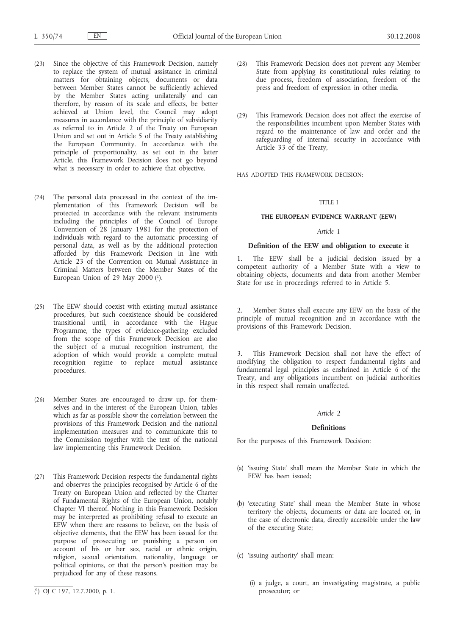- (23) Since the objective of this Framework Decision, namely to replace the system of mutual assistance in criminal matters for obtaining objects, documents or data between Member States cannot be sufficiently achieved by the Member States acting unilaterally and can therefore, by reason of its scale and effects, be better achieved at Union level, the Council may adopt measures in accordance with the principle of subsidiarity as referred to in Article 2 of the Treaty on European Union and set out in Article 5 of the Treaty establishing the European Community. In accordance with the principle of proportionality, as set out in the latter Article, this Framework Decision does not go beyond what is necessary in order to achieve that objective.
- (24) The personal data processed in the context of the implementation of this Framework Decision will be protected in accordance with the relevant instruments including the principles of the Council of Europe Convention of 28 January 1981 for the protection of individuals with regard to the automatic processing of personal data, as well as by the additional protection afforded by this Framework Decision in line with Article 23 of the Convention on Mutual Assistance in Criminal Matters between the Member States of the European Union of 29 May 2000 $(1)$ .
- (25) The EEW should coexist with existing mutual assistance procedures, but such coexistence should be considered transitional until, in accordance with the Hague Programme, the types of evidence-gathering excluded from the scope of this Framework Decision are also the subject of a mutual recognition instrument, the adoption of which would provide a complete mutual recognition regime to replace mutual assistance procedures.
- (26) Member States are encouraged to draw up, for themselves and in the interest of the European Union, tables which as far as possible show the correlation between the provisions of this Framework Decision and the national implementation measures and to communicate this to the Commission together with the text of the national law implementing this Framework Decision.
- (27) This Framework Decision respects the fundamental rights and observes the principles recognised by Article 6 of the Treaty on European Union and reflected by the Charter of Fundamental Rights of the European Union, notably Chapter VI thereof. Nothing in this Framework Decision may be interpreted as prohibiting refusal to execute an EEW when there are reasons to believe, on the basis of objective elements, that the EEW has been issued for the purpose of prosecuting or punishing a person on account of his or her sex, racial or ethnic origin, religion, sexual orientation, nationality, language or political opinions, or that the person's position may be prejudiced for any of these reasons.
- (28) This Framework Decision does not prevent any Member State from applying its constitutional rules relating to due process, freedom of association, freedom of the press and freedom of expression in other media.
- (29) This Framework Decision does not affect the exercise of the responsibilities incumbent upon Member States with regard to the maintenance of law and order and the safeguarding of internal security in accordance with Article 33 of the Treaty,

HAS ADOPTED THIS FRAMEWORK DECISION:

#### TITLE I

#### **THE EUROPEAN EVIDENCE WARRANT (EEW)**

#### *Article 1*

#### **Definition of the EEW and obligation to execute it**

1. The EEW shall be a judicial decision issued by a competent authority of a Member State with a view to obtaining objects, documents and data from another Member State for use in proceedings referred to in Article 5.

2. Member States shall execute any EEW on the basis of the principle of mutual recognition and in accordance with the provisions of this Framework Decision.

This Framework Decision shall not have the effect of modifying the obligation to respect fundamental rights and fundamental legal principles as enshrined in Article 6 of the Treaty, and any obligations incumbent on judicial authorities in this respect shall remain unaffected.

#### *Article 2*

#### **Definitions**

For the purposes of this Framework Decision:

- (a) 'issuing State' shall mean the Member State in which the EEW has been issued;
- (b) 'executing State' shall mean the Member State in whose territory the objects, documents or data are located or, in the case of electronic data, directly accessible under the law of the executing State;
- (c) 'issuing authority' shall mean:
	- (i) a judge, a court, an investigating magistrate, a public prosecutor; or

<sup>(</sup> 1) OJ C 197, 12.7.2000, p. 1.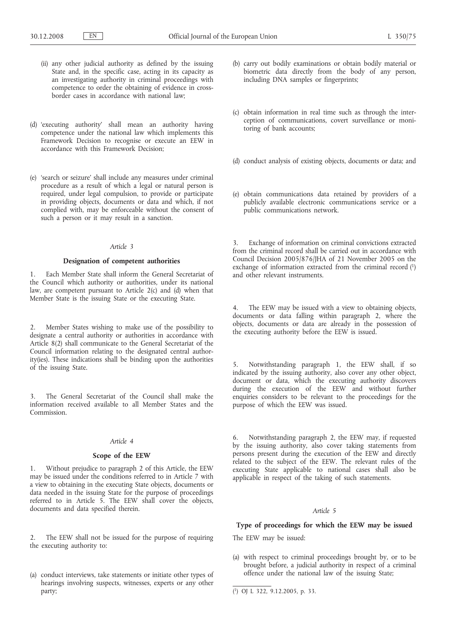- (ii) any other judicial authority as defined by the issuing State and, in the specific case, acting in its capacity as an investigating authority in criminal proceedings with competence to order the obtaining of evidence in crossborder cases in accordance with national law;
- (d) 'executing authority' shall mean an authority having competence under the national law which implements this Framework Decision to recognise or execute an EEW in accordance with this Framework Decision;
- (e) 'search or seizure' shall include any measures under criminal procedure as a result of which a legal or natural person is required, under legal compulsion, to provide or participate in providing objects, documents or data and which, if not complied with, may be enforceable without the consent of such a person or it may result in a sanction.

#### **Designation of competent authorities**

1. Each Member State shall inform the General Secretariat of the Council which authority or authorities, under its national law, are competent pursuant to Article 2(c) and (d) when that Member State is the issuing State or the executing State.

2. Member States wishing to make use of the possibility to designate a central authority or authorities in accordance with Article 8(2) shall communicate to the General Secretariat of the Council information relating to the designated central authority(ies). These indications shall be binding upon the authorities of the issuing State.

The General Secretariat of the Council shall make the information received available to all Member States and the Commission.

#### *Article 4*

#### **Scope of the EEW**

1. Without prejudice to paragraph 2 of this Article, the EEW may be issued under the conditions referred to in Article 7 with a view to obtaining in the executing State objects, documents or data needed in the issuing State for the purpose of proceedings referred to in Article 5. The EEW shall cover the objects, documents and data specified therein.

2. The EEW shall not be issued for the purpose of requiring the executing authority to:

(a) conduct interviews, take statements or initiate other types of hearings involving suspects, witnesses, experts or any other party;

- (b) carry out bodily examinations or obtain bodily material or biometric data directly from the body of any person, including DNA samples or fingerprints;
- (c) obtain information in real time such as through the interception of communications, covert surveillance or monitoring of bank accounts;
- (d) conduct analysis of existing objects, documents or data; and
- (e) obtain communications data retained by providers of a publicly available electronic communications service or a public communications network.

3. Exchange of information on criminal convictions extracted from the criminal record shall be carried out in accordance with Council Decision 2005/876/JHA of 21 November 2005 on the exchange of information extracted from the criminal record  $(1)$ and other relevant instruments.

4. The EEW may be issued with a view to obtaining objects, documents or data falling within paragraph 2, where the objects, documents or data are already in the possession of the executing authority before the EEW is issued.

5. Notwithstanding paragraph 1, the EEW shall, if so indicated by the issuing authority, also cover any other object, document or data, which the executing authority discovers during the execution of the EEW and without further enquiries considers to be relevant to the proceedings for the purpose of which the EEW was issued.

6. Notwithstanding paragraph 2, the EEW may, if requested by the issuing authority, also cover taking statements from persons present during the execution of the EEW and directly related to the subject of the EEW. The relevant rules of the executing State applicable to national cases shall also be applicable in respect of the taking of such statements.

#### *Article 5*

# **Type of proceedings for which the EEW may be issued**

The EEW may be issued:

(a) with respect to criminal proceedings brought by, or to be brought before, a judicial authority in respect of a criminal offence under the national law of the issuing State;

<sup>(</sup> 1) OJ L 322, 9.12.2005, p. 33.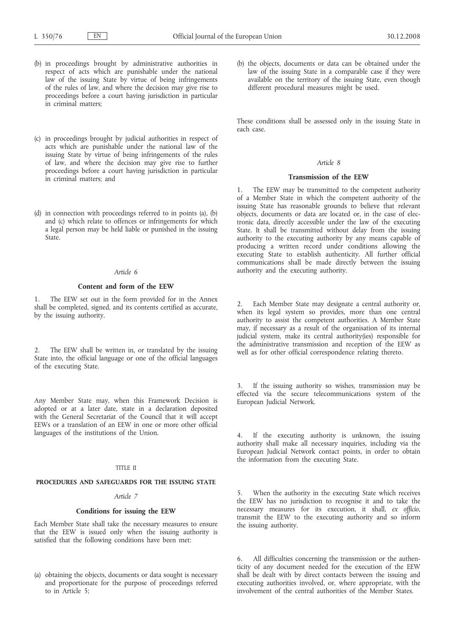- (b) in proceedings brought by administrative authorities in respect of acts which are punishable under the national law of the issuing State by virtue of being infringements of the rules of law, and where the decision may give rise to proceedings before a court having jurisdiction in particular in criminal matters;
- (c) in proceedings brought by judicial authorities in respect of acts which are punishable under the national law of the issuing State by virtue of being infringements of the rules of law, and where the decision may give rise to further proceedings before a court having jurisdiction in particular in criminal matters; and
- (d) in connection with proceedings referred to in points (a), (b) and (c) which relate to offences or infringements for which a legal person may be held liable or punished in the issuing State.

#### **Content and form of the EEW**

1. The EEW set out in the form provided for in the Annex shall be completed, signed, and its contents certified as accurate, by the issuing authority.

2. The EEW shall be written in, or translated by the issuing State into, the official language or one of the official languages of the executing State.

Any Member State may, when this Framework Decision is adopted or at a later date, state in a declaration deposited with the General Secretariat of the Council that it will accept EEWs or a translation of an EEW in one or more other official languages of the institutions of the Union.

#### TITLE II

#### **PROCEDURES AND SAFEGUARDS FOR THE ISSUING STATE**

#### *Article 7*

#### **Conditions for issuing the EEW**

Each Member State shall take the necessary measures to ensure that the EEW is issued only when the issuing authority is satisfied that the following conditions have been met:

(a) obtaining the objects, documents or data sought is necessary and proportionate for the purpose of proceedings referred to in Article 5;

(b) the objects, documents or data can be obtained under the law of the issuing State in a comparable case if they were available on the territory of the issuing State, even though different procedural measures might be used.

These conditions shall be assessed only in the issuing State in each case.

#### *Article 8*

#### **Transmission of the EEW**

The EEW may be transmitted to the competent authority of a Member State in which the competent authority of the issuing State has reasonable grounds to believe that relevant objects, documents or data are located or, in the case of electronic data, directly accessible under the law of the executing State. It shall be transmitted without delay from the issuing authority to the executing authority by any means capable of producing a written record under conditions allowing the executing State to establish authenticity. All further official communications shall be made directly between the issuing authority and the executing authority.

Each Member State may designate a central authority or, when its legal system so provides, more than one central authority to assist the competent authorities. A Member State may, if necessary as a result of the organisation of its internal judicial system, make its central authority(ies) responsible for the administrative transmission and reception of the EEW as well as for other official correspondence relating thereto.

If the issuing authority so wishes, transmission may be effected via the secure telecommunications system of the European Judicial Network.

If the executing authority is unknown, the issuing authority shall make all necessary inquiries, including via the European Judicial Network contact points, in order to obtain the information from the executing State.

5. When the authority in the executing State which receives the EEW has no jurisdiction to recognise it and to take the necessary measures for its execution, it shall, *ex officio*, transmit the EEW to the executing authority and so inform the issuing authority.

All difficulties concerning the transmission or the authenticity of any document needed for the execution of the EEW shall be dealt with by direct contacts between the issuing and executing authorities involved, or, where appropriate, with the involvement of the central authorities of the Member States.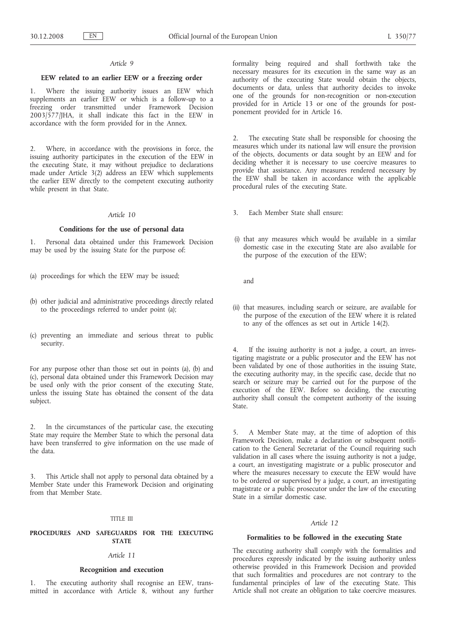#### **EEW related to an earlier EEW or a freezing order**

1. Where the issuing authority issues an EEW which supplements an earlier EEW or which is a follow-up to a freezing order transmitted under Framework Decision 2003/577/JHA, it shall indicate this fact in the EEW in accordance with the form provided for in the Annex.

2. Where, in accordance with the provisions in force, the issuing authority participates in the execution of the EEW in the executing State, it may without prejudice to declarations made under Article 3(2) address an EEW which supplements the earlier EEW directly to the competent executing authority while present in that State.

#### *Article 10*

#### **Conditions for the use of personal data**

1. Personal data obtained under this Framework Decision may be used by the issuing State for the purpose of:

- (a) proceedings for which the EEW may be issued;
- (b) other judicial and administrative proceedings directly related to the proceedings referred to under point (a);
- (c) preventing an immediate and serious threat to public security.

For any purpose other than those set out in points (a), (b) and (c), personal data obtained under this Framework Decision may be used only with the prior consent of the executing State, unless the issuing State has obtained the consent of the data subject.

2. In the circumstances of the particular case, the executing State may require the Member State to which the personal data have been transferred to give information on the use made of the data.

This Article shall not apply to personal data obtained by a Member State under this Framework Decision and originating from that Member State.

#### TITLE III

#### **PROCEDURES AND SAFEGUARDS FOR THE EXECUTING STATE**

#### *Article 11*

#### **Recognition and execution**

The executing authority shall recognise an EEW, transmitted in accordance with Article 8, without any further

formality being required and shall forthwith take the necessary measures for its execution in the same way as an authority of the executing State would obtain the objects, documents or data, unless that authority decides to invoke one of the grounds for non-recognition or non-execution provided for in Article 13 or one of the grounds for postponement provided for in Article 16.

2. The executing State shall be responsible for choosing the measures which under its national law will ensure the provision of the objects, documents or data sought by an EEW and for deciding whether it is necessary to use coercive measures to provide that assistance. Any measures rendered necessary by the EEW shall be taken in accordance with the applicable procedural rules of the executing State.

3. Each Member State shall ensure:

- (i) that any measures which would be available in a similar domestic case in the executing State are also available for the purpose of the execution of the EEW;
	- and
- (ii) that measures, including search or seizure, are available for the purpose of the execution of the EEW where it is related to any of the offences as set out in Article 14(2).

If the issuing authority is not a judge, a court, an investigating magistrate or a public prosecutor and the EEW has not been validated by one of those authorities in the issuing State, the executing authority may, in the specific case, decide that no search or seizure may be carried out for the purpose of the execution of the EEW. Before so deciding, the executing authority shall consult the competent authority of the issuing State.

5. A Member State may, at the time of adoption of this Framework Decision, make a declaration or subsequent notification to the General Secretariat of the Council requiring such validation in all cases where the issuing authority is not a judge, a court, an investigating magistrate or a public prosecutor and where the measures necessary to execute the EEW would have to be ordered or supervised by a judge, a court, an investigating magistrate or a public prosecutor under the law of the executing State in a similar domestic case.

#### *Article 12*

#### **Formalities to be followed in the executing State**

The executing authority shall comply with the formalities and procedures expressly indicated by the issuing authority unless otherwise provided in this Framework Decision and provided that such formalities and procedures are not contrary to the fundamental principles of law of the executing State. This Article shall not create an obligation to take coercive measures.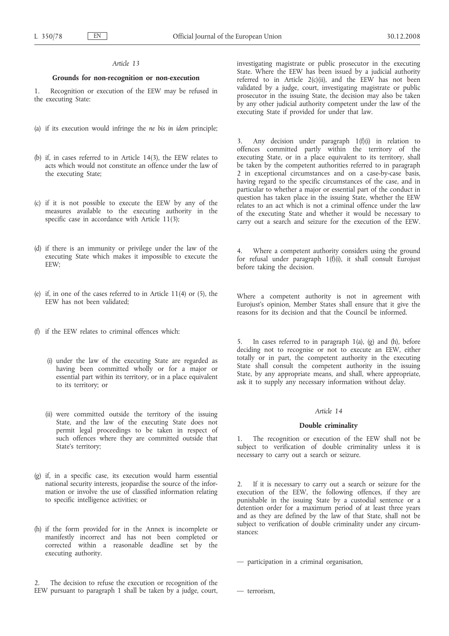#### **Grounds for non-recognition or non-execution**

1. Recognition or execution of the EEW may be refused in the executing State:

- (a) if its execution would infringe the *ne bis in idem* principle;
- (b) if, in cases referred to in Article 14(3), the EEW relates to acts which would not constitute an offence under the law of the executing State;
- (c) if it is not possible to execute the EEW by any of the measures available to the executing authority in the specific case in accordance with Article 11(3);
- (d) if there is an immunity or privilege under the law of the executing State which makes it impossible to execute the EEW;
- (e) if, in one of the cases referred to in Article 11(4) or (5), the EEW has not been validated;
- (f) if the EEW relates to criminal offences which:
	- (i) under the law of the executing State are regarded as having been committed wholly or for a major or essential part within its territory, or in a place equivalent to its territory; or
	- (ii) were committed outside the territory of the issuing State, and the law of the executing State does not permit legal proceedings to be taken in respect of such offences where they are committed outside that State's territory;
- (g) if, in a specific case, its execution would harm essential national security interests, jeopardise the source of the information or involve the use of classified information relating to specific intelligence activities; or
- (h) if the form provided for in the Annex is incomplete or manifestly incorrect and has not been completed or corrected within a reasonable deadline set by the executing authority.

The decision to refuse the execution or recognition of the EEW pursuant to paragraph 1 shall be taken by a judge, court, investigating magistrate or public prosecutor in the executing State. Where the EEW has been issued by a judicial authority referred to in Article  $2(c)(ii)$ , and the EEW has not been validated by a judge, court, investigating magistrate or public prosecutor in the issuing State, the decision may also be taken by any other judicial authority competent under the law of the executing State if provided for under that law.

3. Any decision under paragraph  $1(f)(i)$  in relation to offences committed partly within the territory of the executing State, or in a place equivalent to its territory, shall be taken by the competent authorities referred to in paragraph 2 in exceptional circumstances and on a case-by-case basis, having regard to the specific circumstances of the case, and in particular to whether a major or essential part of the conduct in question has taken place in the issuing State, whether the EEW relates to an act which is not a criminal offence under the law of the executing State and whether it would be necessary to carry out a search and seizure for the execution of the EEW.

4. Where a competent authority considers using the ground for refusal under paragraph 1(f)(i), it shall consult Eurojust before taking the decision.

Where a competent authority is not in agreement with Eurojust's opinion, Member States shall ensure that it give the reasons for its decision and that the Council be informed.

5. In cases referred to in paragraph 1(a), (g) and (h), before deciding not to recognise or not to execute an EEW, either totally or in part, the competent authority in the executing State shall consult the competent authority in the issuing State, by any appropriate means, and shall, where appropriate, ask it to supply any necessary information without delay.

#### *Article 14*

#### **Double criminality**

The recognition or execution of the EEW shall not be subject to verification of double criminality unless it is necessary to carry out a search or seizure.

2. If it is necessary to carry out a search or seizure for the execution of the EEW, the following offences, if they are punishable in the issuing State by a custodial sentence or a detention order for a maximum period of at least three years and as they are defined by the law of that State, shall not be subject to verification of double criminality under any circumstances:

— participation in a criminal organisation,

— terrorism,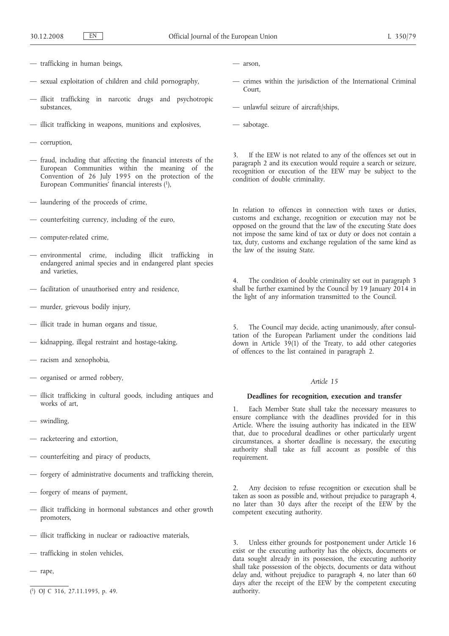- trafficking in human beings,
- sexual exploitation of children and child pornography,
- illicit trafficking in narcotic drugs and psychotropic substances,
- illicit trafficking in weapons, munitions and explosives,
- corruption,
- fraud, including that affecting the financial interests of the European Communities within the meaning of the Convention of 26 July 1995 on the protection of the European Communities' financial interests (1),
- laundering of the proceeds of crime,
- counterfeiting currency, including of the euro,
- computer-related crime,
- environmental crime, including illicit trafficking in endangered animal species and in endangered plant species and varieties,
- facilitation of unauthorised entry and residence,
- murder, grievous bodily injury,
- illicit trade in human organs and tissue,
- kidnapping, illegal restraint and hostage-taking,
- racism and xenophobia,
- organised or armed robbery,
- illicit trafficking in cultural goods, including antiques and works of art,
- swindling,
- racketeering and extortion,
- counterfeiting and piracy of products,
- forgery of administrative documents and trafficking therein,
- forgery of means of payment,
- illicit trafficking in hormonal substances and other growth promoters,
- illicit trafficking in nuclear or radioactive materials,
- trafficking in stolen vehicles,
- rape,
- ( 1) OJ C 316, 27.11.1995, p. 49.
- $-$  arson.
- crimes within the jurisdiction of the International Criminal Court,
- unlawful seizure of aircraft/ships,
- sabotage.

3. If the EEW is not related to any of the offences set out in paragraph 2 and its execution would require a search or seizure, recognition or execution of the EEW may be subject to the condition of double criminality.

In relation to offences in connection with taxes or duties, customs and exchange, recognition or execution may not be opposed on the ground that the law of the executing State does not impose the same kind of tax or duty or does not contain a tax, duty, customs and exchange regulation of the same kind as the law of the issuing State.

4. The condition of double criminality set out in paragraph 3 shall be further examined by the Council by 19 January 2014 in the light of any information transmitted to the Council.

5. The Council may decide, acting unanimously, after consultation of the European Parliament under the conditions laid down in Article  $3\dot{9}(1)$  of the Treaty, to add other categories of offences to the list contained in paragraph 2.

#### *Article 15*

#### **Deadlines for recognition, execution and transfer**

1. Each Member State shall take the necessary measures to ensure compliance with the deadlines provided for in this Article. Where the issuing authority has indicated in the EEW that, due to procedural deadlines or other particularly urgent circumstances, a shorter deadline is necessary, the executing authority shall take as full account as possible of this requirement.

2. Any decision to refuse recognition or execution shall be taken as soon as possible and, without prejudice to paragraph 4, no later than 30 days after the receipt of the EEW by the competent executing authority.

3. Unless either grounds for postponement under Article 16 exist or the executing authority has the objects, documents or data sought already in its possession, the executing authority shall take possession of the objects, documents or data without delay and, without prejudice to paragraph 4, no later than 60 days after the receipt of the EEW by the competent executing authority.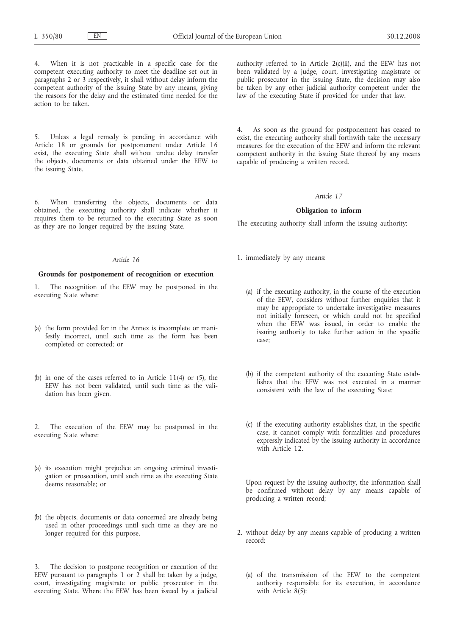4. When it is not practicable in a specific case for the competent executing authority to meet the deadline set out in paragraphs 2 or 3 respectively, it shall without delay inform the competent authority of the issuing State by any means, giving the reasons for the delay and the estimated time needed for the action to be taken.

5. Unless a legal remedy is pending in accordance with Article 18 or grounds for postponement under Article 16 exist, the executing State shall without undue delay transfer the objects, documents or data obtained under the EEW to the issuing State.

6. When transferring the objects, documents or data obtained, the executing authority shall indicate whether it requires them to be returned to the executing State as soon as they are no longer required by the issuing State.

#### *Article 16*

#### **Grounds for postponement of recognition or execution**

1. The recognition of the EEW may be postponed in the executing State where:

- (a) the form provided for in the Annex is incomplete or manifestly incorrect, until such time as the form has been completed or corrected; or
- (b) in one of the cases referred to in Article 11(4) or (5), the EEW has not been validated, until such time as the validation has been given.

The execution of the EEW may be postponed in the executing State where:

- (a) its execution might prejudice an ongoing criminal investigation or prosecution, until such time as the executing State deems reasonable; or
- (b) the objects, documents or data concerned are already being used in other proceedings until such time as they are no longer required for this purpose.

The decision to postpone recognition or execution of the EEW pursuant to paragraphs 1 or  $2$  shall be taken by a judge, court, investigating magistrate or public prosecutor in the executing State. Where the EEW has been issued by a judicial

authority referred to in Article 2(c)(ii), and the EEW has not been validated by a judge, court, investigating magistrate or public prosecutor in the issuing State, the decision may also be taken by any other judicial authority competent under the law of the executing State if provided for under that law.

As soon as the ground for postponement has ceased to exist, the executing authority shall forthwith take the necessary measures for the execution of the EEW and inform the relevant competent authority in the issuing State thereof by any means capable of producing a written record.

#### *Article 17*

#### **Obligation to inform**

The executing authority shall inform the issuing authority:

1. immediately by any means:

- (a) if the executing authority, in the course of the execution of the EEW, considers without further enquiries that it may be appropriate to undertake investigative measures not initially foreseen, or which could not be specified when the EEW was issued, in order to enable the issuing authority to take further action in the specific case;
- (b) if the competent authority of the executing State establishes that the EEW was not executed in a manner consistent with the law of the executing State;
- (c) if the executing authority establishes that, in the specific case, it cannot comply with formalities and procedures expressly indicated by the issuing authority in accordance with Article 12.

Upon request by the issuing authority, the information shall be confirmed without delay by any means capable of producing a written record;

- 2. without delay by any means capable of producing a written record:
	- (a) of the transmission of the EEW to the competent authority responsible for its execution, in accordance with Article 8(5);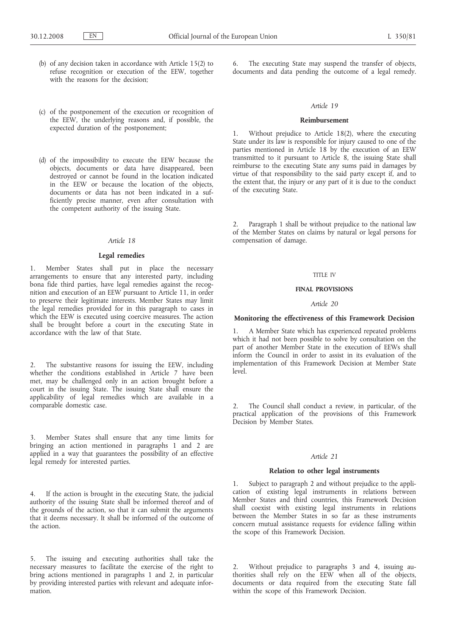- (b) of any decision taken in accordance with Article 15(2) to refuse recognition or execution of the EEW, together with the reasons for the decision;
- (c) of the postponement of the execution or recognition of the EEW, the underlying reasons and, if possible, the expected duration of the postponement;
- (d) of the impossibility to execute the EEW because the objects, documents or data have disappeared, been destroyed or cannot be found in the location indicated in the EEW or because the location of the objects, documents or data has not been indicated in a sufficiently precise manner, even after consultation with the competent authority of the issuing State.

#### **Legal remedies**

1. Member States shall put in place the necessary arrangements to ensure that any interested party, including bona fide third parties, have legal remedies against the recognition and execution of an EEW pursuant to Article 11, in order to preserve their legitimate interests. Member States may limit the legal remedies provided for in this paragraph to cases in which the EEW is executed using coercive measures. The action shall be brought before a court in the executing State in accordance with the law of that State.

2. The substantive reasons for issuing the EEW, including whether the conditions established in Article 7 have been met, may be challenged only in an action brought before a court in the issuing State. The issuing State shall ensure the applicability of legal remedies which are available in a comparable domestic case.

3. Member States shall ensure that any time limits for bringing an action mentioned in paragraphs 1 and 2 are applied in a way that guarantees the possibility of an effective legal remedy for interested parties.

4. If the action is brought in the executing State, the judicial authority of the issuing State shall be informed thereof and of the grounds of the action, so that it can submit the arguments that it deems necessary. It shall be informed of the outcome of the action.

5. The issuing and executing authorities shall take the necessary measures to facilitate the exercise of the right to bring actions mentioned in paragraphs 1 and 2, in particular by providing interested parties with relevant and adequate information.

6. The executing State may suspend the transfer of objects, documents and data pending the outcome of a legal remedy.

#### *Article 19*

#### **Reimbursement**

1. Without prejudice to Article 18(2), where the executing State under its law is responsible for injury caused to one of the parties mentioned in Article 18 by the execution of an EEW transmitted to it pursuant to Article 8, the issuing State shall reimburse to the executing State any sums paid in damages by virtue of that responsibility to the said party except if, and to the extent that, the injury or any part of it is due to the conduct of the executing State.

Paragraph 1 shall be without prejudice to the national law of the Member States on claims by natural or legal persons for compensation of damage.

#### TITLE IV

#### **FINAL PROVISIONS**

#### *Article 20*

#### **Monitoring the effectiveness of this Framework Decision**

1. A Member State which has experienced repeated problems which it had not been possible to solve by consultation on the part of another Member State in the execution of EEWs shall inform the Council in order to assist in its evaluation of the implementation of this Framework Decision at Member State level.

2. The Council shall conduct a review, in particular, of the practical application of the provisions of this Framework Decision by Member States.

#### *Article 21*

#### **Relation to other legal instruments**

1. Subject to paragraph 2 and without prejudice to the application of existing legal instruments in relations between Member States and third countries, this Framework Decision shall coexist with existing legal instruments in relations between the Member States in so far as these instruments concern mutual assistance requests for evidence falling within the scope of this Framework Decision.

2. Without prejudice to paragraphs 3 and 4, issuing authorities shall rely on the EEW when all of the objects, documents or data required from the executing State fall within the scope of this Framework Decision.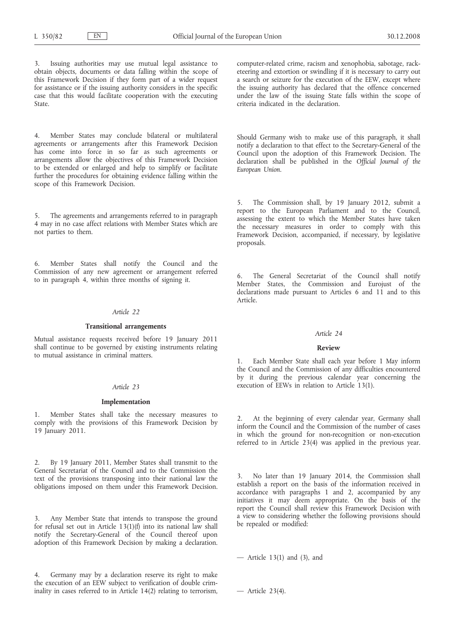3. Issuing authorities may use mutual legal assistance to obtain objects, documents or data falling within the scope of this Framework Decision if they form part of a wider request for assistance or if the issuing authority considers in the specific case that this would facilitate cooperation with the executing State.

4. Member States may conclude bilateral or multilateral agreements or arrangements after this Framework Decision has come into force in so far as such agreements or arrangements allow the objectives of this Framework Decision to be extended or enlarged and help to simplify or facilitate further the procedures for obtaining evidence falling within the scope of this Framework Decision.

5. The agreements and arrangements referred to in paragraph 4 may in no case affect relations with Member States which are not parties to them.

6. Member States shall notify the Council and the Commission of any new agreement or arrangement referred to in paragraph 4, within three months of signing it.

#### *Article 22*

#### **Transitional arrangements**

Mutual assistance requests received before 19 January 2011 shall continue to be governed by existing instruments relating to mutual assistance in criminal matters.

#### *Article 23*

#### **Implementation**

1. Member States shall take the necessary measures to comply with the provisions of this Framework Decision by 19 January 2011.

2. By 19 January 2011, Member States shall transmit to the General Secretariat of the Council and to the Commission the text of the provisions transposing into their national law the obligations imposed on them under this Framework Decision.

3. Any Member State that intends to transpose the ground for refusal set out in Article 13(1)(f) into its national law shall notify the Secretary-General of the Council thereof upon adoption of this Framework Decision by making a declaration.

4. Germany may by a declaration reserve its right to make the execution of an EEW subject to verification of double criminality in cases referred to in Article 14(2) relating to terrorism, computer-related crime, racism and xenophobia, sabotage, racketeering and extortion or swindling if it is necessary to carry out a search or seizure for the execution of the EEW, except where the issuing authority has declared that the offence concerned under the law of the issuing State falls within the scope of criteria indicated in the declaration.

Should Germany wish to make use of this paragraph, it shall notify a declaration to that effect to the Secretary-General of the Council upon the adoption of this Framework Decision. The declaration shall be published in the *Official Journal of the European Union*.

5. The Commission shall, by 19 January 2012, submit a report to the European Parliament and to the Council, assessing the extent to which the Member States have taken the necessary measures in order to comply with this Framework Decision, accompanied, if necessary, by legislative proposals.

6. The General Secretariat of the Council shall notify Member States, the Commission and Eurojust of the declarations made pursuant to Articles 6 and 11 and to this Article.

#### *Article 24*

#### **Review**

1. Each Member State shall each year before 1 May inform the Council and the Commission of any difficulties encountered by it during the previous calendar year concerning the execution of EEWs in relation to Article 13(1).

At the beginning of every calendar year, Germany shall inform the Council and the Commission of the number of cases in which the ground for non-recognition or non-execution referred to in Article 23(4) was applied in the previous year.

3. No later than 19 January 2014, the Commission shall establish a report on the basis of the information received in accordance with paragraphs 1 and 2, accompanied by any initiatives it may deem appropriate. On the basis of the report the Council shall review this Framework Decision with a view to considering whether the following provisions should be repealed or modified:

— Article 13(1) and (3), and

— Article 23(4).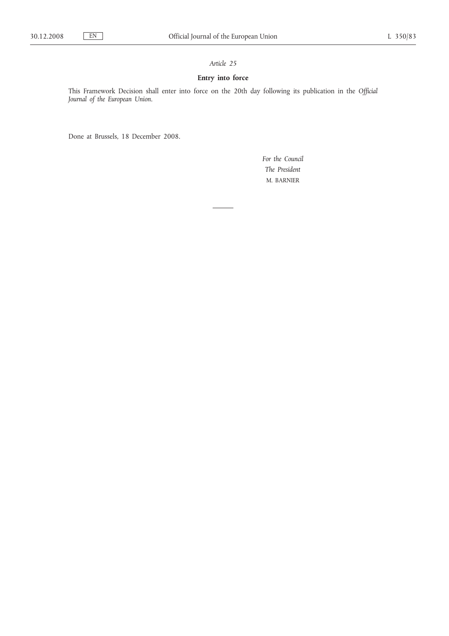# **Entry into force**

This Framework Decision shall enter into force on the 20th day following its publication in the *Official Journal of the European Union*.

Done at Brussels, 18 December 2008.

*For the Council The President* M. BARNIER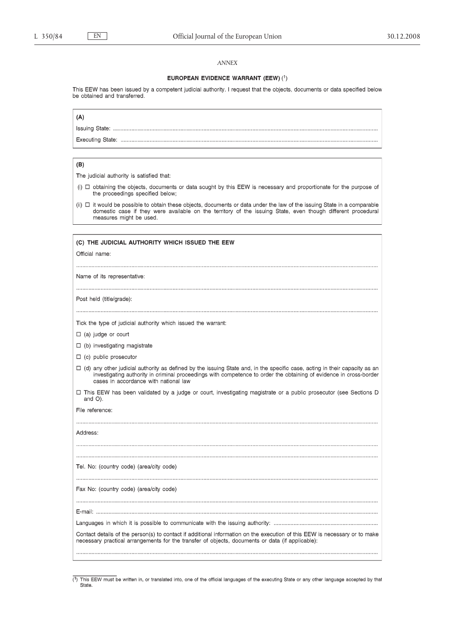#### *ANNEX*

#### EUROPEAN EVIDENCE WARRANT (EEW) (1)

This EEW has been issued by a competent judicial authority. I request that the objects, documents or data specified below be obtained and transferred.

| (A) |
|-----|
|     |
|     |

# $(B)$

 $\overline{\phantom{a}}$ 

The judicial authority is satisfied that:

- $(i)$   $\Box$  obtaining the objects, documents or data sought by this EEW is necessary and proportionate for the purpose of the proceedings specified below;
- (ii)  $\Box$  it would be possible to obtain these objects, documents or data under the law of the issuing State in a comparable domestic case if they were available on the territory of the issuing State, even though different measures might be used.

| (C) THE JUDICIAL AUTHORITY WHICH ISSUED THE EEW                                                                                                                                                                                                                                                  |
|--------------------------------------------------------------------------------------------------------------------------------------------------------------------------------------------------------------------------------------------------------------------------------------------------|
| Official name:                                                                                                                                                                                                                                                                                   |
|                                                                                                                                                                                                                                                                                                  |
| Name of its representative:                                                                                                                                                                                                                                                                      |
|                                                                                                                                                                                                                                                                                                  |
| Post held (title/grade):                                                                                                                                                                                                                                                                         |
|                                                                                                                                                                                                                                                                                                  |
| Tick the type of judicial authority which issued the warrant:                                                                                                                                                                                                                                    |
| $\Box$ (a) judge or court                                                                                                                                                                                                                                                                        |
| $\Box$ (b) investigating magistrate                                                                                                                                                                                                                                                              |
| $\Box$ (c) public prosecutor                                                                                                                                                                                                                                                                     |
| $\Box$ (d) any other judicial authority as defined by the issuing State and, in the specific case, acting in their capacity as an<br>investigating authority in criminal proceedings with competence to order the obtaining of evidence in cross-border<br>cases in accordance with national law |
| □ This EEW has been validated by a judge or court, investigating magistrate or a public prosecutor (see Sections D<br>and $O$ ).                                                                                                                                                                 |
| File reference:                                                                                                                                                                                                                                                                                  |
|                                                                                                                                                                                                                                                                                                  |
| Address:                                                                                                                                                                                                                                                                                         |
|                                                                                                                                                                                                                                                                                                  |
|                                                                                                                                                                                                                                                                                                  |
| Tel. No: (country code) (area/city code)                                                                                                                                                                                                                                                         |
|                                                                                                                                                                                                                                                                                                  |
| Fax No: (country code) (area/city code)                                                                                                                                                                                                                                                          |
|                                                                                                                                                                                                                                                                                                  |
|                                                                                                                                                                                                                                                                                                  |
|                                                                                                                                                                                                                                                                                                  |
| Contact details of the person(s) to contact if additional information on the execution of this EEW is necessary or to make<br>necessary practical arrangements for the transfer of objects, documents or data (if applicable):                                                                   |
|                                                                                                                                                                                                                                                                                                  |

 $\overline{(^1)}$  This EEW must be written in, or translated into, one of the official languages of the executing State or any other language accepted by that State.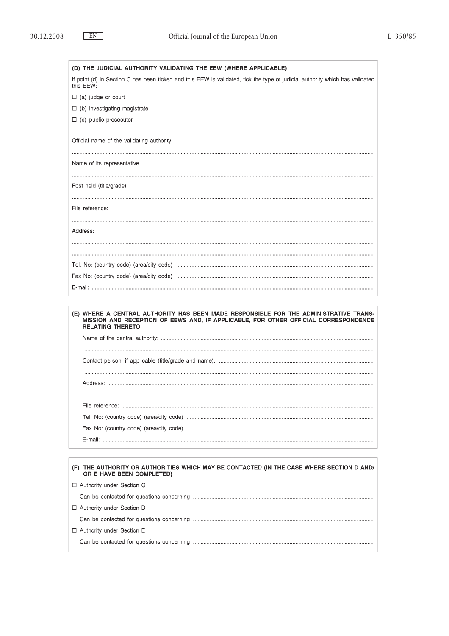| (D) THE JUDICIAL AUTHORITY VALIDATING THE EEW (WHERE APPLICABLE)                                                                          |
|-------------------------------------------------------------------------------------------------------------------------------------------|
| If point (d) in Section C has been ticked and this EEW is validated, tick the type of judicial authority which has validated<br>this EEW: |
| $\Box$ (a) judge or court                                                                                                                 |
| $\Box$ (b) investigating magistrate                                                                                                       |
| $\Box$ (c) public prosecutor                                                                                                              |
| Official name of the validating authority:                                                                                                |
| Name of its representative:                                                                                                               |
| Post held (title/grade):                                                                                                                  |
| File reference:                                                                                                                           |
| Address:                                                                                                                                  |
|                                                                                                                                           |
|                                                                                                                                           |
|                                                                                                                                           |
|                                                                                                                                           |

(E) WHERE A CENTRAL AUTHORITY HAS BEEN MADE RESPONSIBLE FOR THE ADMINISTRATIVE TRANS-<br>MISSION AND RECEPTION OF EEWS AND, IF APPLICABLE, FOR OTHER OFFICIAL CORRESPONDENCE RELATING THERETO

# (F) THE AUTHORITY OR AUTHORITIES WHICH MAY BE CONTACTED (IN THE CASE WHERE SECTION D AND/ OR E HAVE BEEN COMPLETED)

| □ Authority under Section C |
|-----------------------------|
|                             |
| □ Authority under Section D |
|                             |
| □ Authority under Section E |
|                             |
|                             |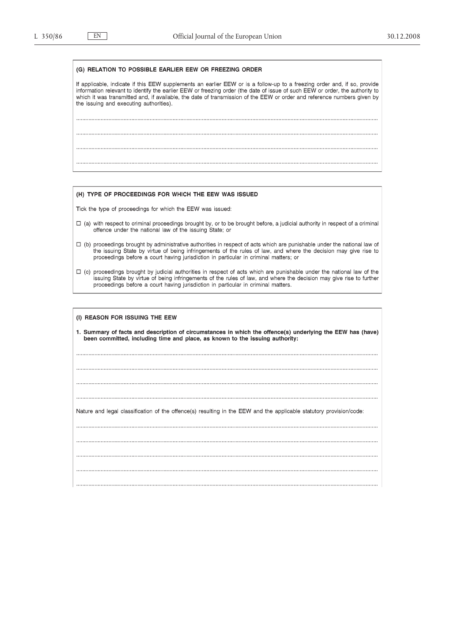#### (G) RELATION TO POSSIBLE EARLIER EEW OR FREEZING ORDER

If applicable, indicate if this EEW supplements an earlier EEW or is a follow-up to a freezing order and, if so, provide information relevant to identify the earlier EEW or freezing order (the date of issue of such EEW or order, the authority to which it was transmitted and, if available, the date of transmission of the EEW or order and reference numbers given by the issuing and executing authorities).

#### (H) TYPE OF PROCEEDINGS FOR WHICH THE EEW WAS ISSUED

Tick the type of proceedings for which the EEW was issued:

- □ (a) with respect to criminal proceedings brought by, or to be brought before, a judicial authority in respect of a criminal offence under the national law of the issuing State; or
- $\Box$  (b) proceedings brought by administrative authorities in respect of acts which are punishable under the national law of the issuing State by virtue of being infringements of the rules of law, and where the decision may give rise to<br>proceedings before a court having jurisdiction in particular in criminal matters; or
- $\Box$  (c) proceedings brought by judicial authorities in respect of acts which are punishable under the national law of the issuing State by virtue of being infringements of the rules of law, and where the decision may giv proceedings before a court having jurisdiction in particular in criminal matters.

#### (I) REASON FOR ISSUING THE EEW

| 1. Summary of facts and description of circumstances in which the offence(s) underlying the EEW has (have)<br>been committed, including time and place, as known to the issuing authority: |
|--------------------------------------------------------------------------------------------------------------------------------------------------------------------------------------------|
|                                                                                                                                                                                            |
|                                                                                                                                                                                            |
|                                                                                                                                                                                            |
| Nature and legal classification of the offence(s) resulting in the EEW and the applicable statutory provision/code:                                                                        |
|                                                                                                                                                                                            |
|                                                                                                                                                                                            |
|                                                                                                                                                                                            |
|                                                                                                                                                                                            |
|                                                                                                                                                                                            |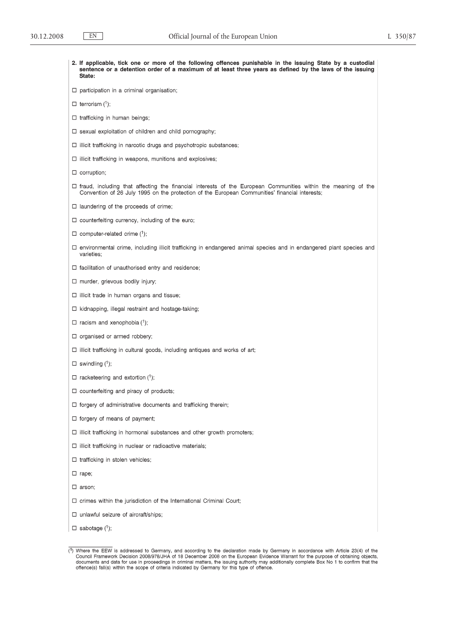2. If applicable, tick one or more of the following offences punishable in the issuing State by a custodial sentence or a detention order of a maximum of at least three years as defined by the laws of the issuing State:  $\Box$  participation in a criminal organisation;  $\Box$  terrorism (1); □ trafficking in human beings;  $\Box$  sexual exploitation of children and child pornography; □ illicit trafficking in narcotic drugs and psychotropic substances; □ illicit trafficking in weapons, munitions and explosives;  $\Box$  corruption; □ fraud, including that affecting the financial interests of the European Communities within the meaning of the Convention of 26 July 1995 on the protection of the European Communities' financial interests;  $\Box$  laundering of the proceeds of crime;  $\square$  counterfeiting currency, including of the euro;  $\Box$  computer-related crime (1); □ environmental crime, including illicit trafficking in endangered animal species and in endangered plant species and varieties:  $\Box$  facilitation of unauthorised entry and residence;  $\Box$  murder, grievous bodily injury;  $\Box$  illicit trade in human organs and tissue; □ kidnapping, illegal restraint and hostage-taking;  $\Box$  racism and xenophobia (1);  $\Box$  organised or armed robbery; □ illicit trafficking in cultural goods, including antiques and works of art;  $\square$  swindling (1);  $\Box$  racketeering and extortion (1);  $\Box$  counterfeiting and piracy of products;  $\Box$  forgery of administrative documents and trafficking therein;  $\Box$  forgery of means of payment; □ illicit trafficking in hormonal substances and other growth promoters; □ illicit trafficking in nuclear or radioactive materials;  $\Box$  trafficking in stolen vehicles;  $\Box$  rape;  $\Box$  arson;  $\square$  crimes within the jurisdiction of the International Criminal Court; □ unlawful seizure of aircraft/ships;  $\Box$  sabotage (1);

<sup>(1)</sup> Where the EEW is addressed to Germany, and according to the declaration made by Germany in accordance with Article 23(4) of the Council Framework Decision 2008/978/JHA of 18 December 2008 on the European Evidence Warra documents and data for use in proceedings in criminal matters, the issuing authority may additionally complete Box No 1 to confirm that the offence(s) fall(s) within the scope of criteria indicated by Germany for this type of offence.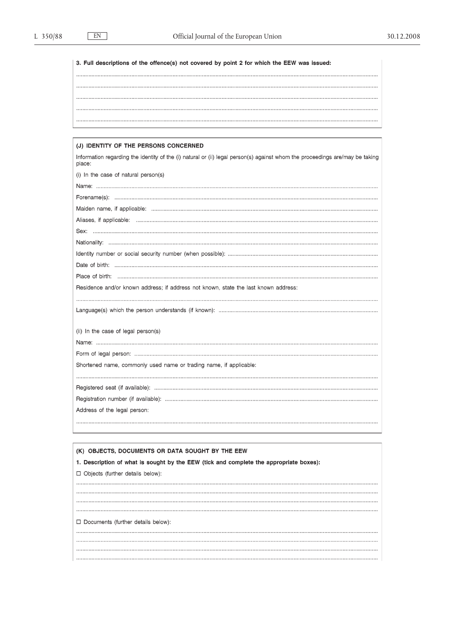| 3. Full descriptions of the offence(s) not covered by point 2 for which the EEW was issued:                                            |
|----------------------------------------------------------------------------------------------------------------------------------------|
|                                                                                                                                        |
|                                                                                                                                        |
|                                                                                                                                        |
|                                                                                                                                        |
|                                                                                                                                        |
|                                                                                                                                        |
| (J) IDENTITY OF THE PERSONS CONCERNED                                                                                                  |
| Information regarding the identity of the (i) natural or (ii) legal person(s) against whom the proceedings are/may be taking<br>place: |
| (i) In the case of natural person(s)                                                                                                   |
|                                                                                                                                        |
|                                                                                                                                        |
|                                                                                                                                        |
|                                                                                                                                        |
|                                                                                                                                        |
|                                                                                                                                        |
|                                                                                                                                        |
|                                                                                                                                        |
|                                                                                                                                        |
| Residence and/or known address; if address not known, state the last known address:                                                    |
|                                                                                                                                        |
|                                                                                                                                        |
| (ii) In the case of legal person(s)                                                                                                    |
|                                                                                                                                        |
|                                                                                                                                        |
| Shortened name, commonly used name or trading name, if applicable:                                                                     |
|                                                                                                                                        |
|                                                                                                                                        |
|                                                                                                                                        |
| Address of the legal person:                                                                                                           |
|                                                                                                                                        |

| (K) OBJECTS, DOCUMENTS OR DATA SOUGHT BY THE EEW                                       |
|----------------------------------------------------------------------------------------|
| 1. Description of what is sought by the EEW (tick and complete the appropriate boxes): |
| $\Box$ Objects (further details below):                                                |
|                                                                                        |
|                                                                                        |
|                                                                                        |
|                                                                                        |
| $\Box$ Documents (further details below):                                              |
|                                                                                        |
|                                                                                        |
|                                                                                        |
|                                                                                        |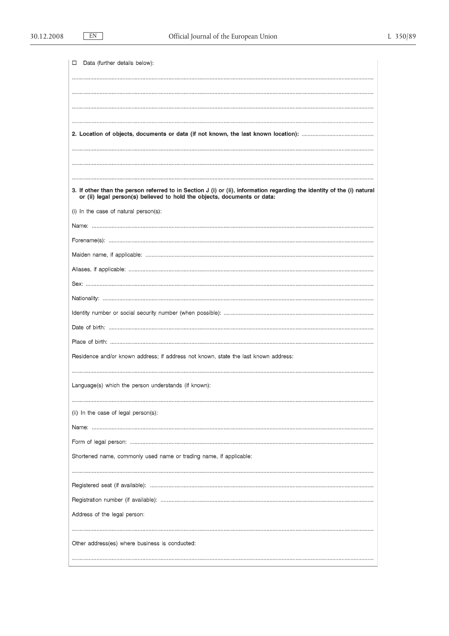$\mathbf{I}$ 

| Data (further details below):<br>□                                                                                                                                                                  |
|-----------------------------------------------------------------------------------------------------------------------------------------------------------------------------------------------------|
|                                                                                                                                                                                                     |
|                                                                                                                                                                                                     |
|                                                                                                                                                                                                     |
|                                                                                                                                                                                                     |
|                                                                                                                                                                                                     |
|                                                                                                                                                                                                     |
|                                                                                                                                                                                                     |
|                                                                                                                                                                                                     |
| 3. If other than the person referred to in Section J (i) or (ii), information regarding the identity of the (i) natural<br>or (ii) legal person(s) believed to hold the objects, documents or data: |
| (i) In the case of natural person(s):                                                                                                                                                               |
|                                                                                                                                                                                                     |
|                                                                                                                                                                                                     |
|                                                                                                                                                                                                     |
|                                                                                                                                                                                                     |
|                                                                                                                                                                                                     |
|                                                                                                                                                                                                     |
|                                                                                                                                                                                                     |
|                                                                                                                                                                                                     |
|                                                                                                                                                                                                     |
| Residence and/or known address; if address not known, state the last known address:                                                                                                                 |
| Language(s) which the person understands (if known):                                                                                                                                                |
|                                                                                                                                                                                                     |
| (ii) In the case of legal person(s):                                                                                                                                                                |
|                                                                                                                                                                                                     |
|                                                                                                                                                                                                     |
| Shortened name, commonly used name or trading name, if applicable:                                                                                                                                  |
|                                                                                                                                                                                                     |
|                                                                                                                                                                                                     |
|                                                                                                                                                                                                     |
| Address of the legal person:                                                                                                                                                                        |
|                                                                                                                                                                                                     |
| Other address(es) where business is conducted:                                                                                                                                                      |
|                                                                                                                                                                                                     |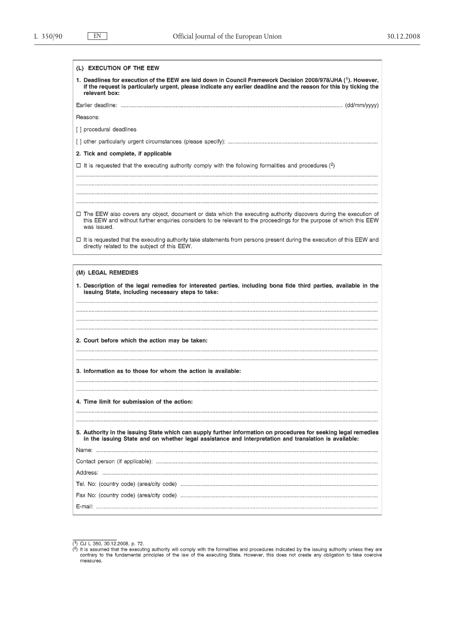| (L) EXECUTION OF THE EEW                                                                                                                                                                                                                                      |
|---------------------------------------------------------------------------------------------------------------------------------------------------------------------------------------------------------------------------------------------------------------|
| 1. Deadlines for execution of the EEW are laid down in Council Framework Decision 2008/978/JHA (1). However,<br>if the request is particularly urgent, please indicate any earlier deadline and the reason for this by ticking the<br>relevant box:           |
| Earlier deadline:                                                                                                                                                                                                                                             |
| Reasons:                                                                                                                                                                                                                                                      |
| [ ] procedural deadlines                                                                                                                                                                                                                                      |
|                                                                                                                                                                                                                                                               |
| 2. Tick and complete, if applicable                                                                                                                                                                                                                           |
| $\Box$ It is requested that the executing authority comply with the following formalities and procedures ( <sup>2</sup> )                                                                                                                                     |
|                                                                                                                                                                                                                                                               |
|                                                                                                                                                                                                                                                               |
|                                                                                                                                                                                                                                                               |
| $\Box$ The EEW also covers any object, document or data which the executing authority discovers during the execution of<br>this EEW and without further enguiries considers to be relevant to the proceedings for the purpose of which this EEW<br>was issued |

 $\Box$  It is requested that the executing authority take statements from persons present during the execution of this EEW and directly related to the subject of this EEW.

# (M) LEGAL REMEDIES

| 1. Description of the legal remedies for interested parties, including bona fide third parties, available in the<br>issuing State, including necessary steps to take:                                                    |
|--------------------------------------------------------------------------------------------------------------------------------------------------------------------------------------------------------------------------|
|                                                                                                                                                                                                                          |
|                                                                                                                                                                                                                          |
|                                                                                                                                                                                                                          |
|                                                                                                                                                                                                                          |
| 2. Court before which the action may be taken:                                                                                                                                                                           |
|                                                                                                                                                                                                                          |
|                                                                                                                                                                                                                          |
| 3. Information as to those for whom the action is available:                                                                                                                                                             |
|                                                                                                                                                                                                                          |
|                                                                                                                                                                                                                          |
| 4. Time limit for submission of the action:                                                                                                                                                                              |
|                                                                                                                                                                                                                          |
|                                                                                                                                                                                                                          |
|                                                                                                                                                                                                                          |
| 5. Authority in the issuing State which can supply further information on procedures for seeking legal remedies<br>in the issuing State and on whether legal assistance and interpretation and translation is available: |
|                                                                                                                                                                                                                          |
|                                                                                                                                                                                                                          |
|                                                                                                                                                                                                                          |
|                                                                                                                                                                                                                          |
|                                                                                                                                                                                                                          |

<sup>(1)</sup>  $OJ L 350$ , 30.12.2008, p. 72.<br>(2) It is assumed that the executing authority will comply with the formalities and procedures indicated by the issuing authority unless they are<br>contrary to the fundamental principles of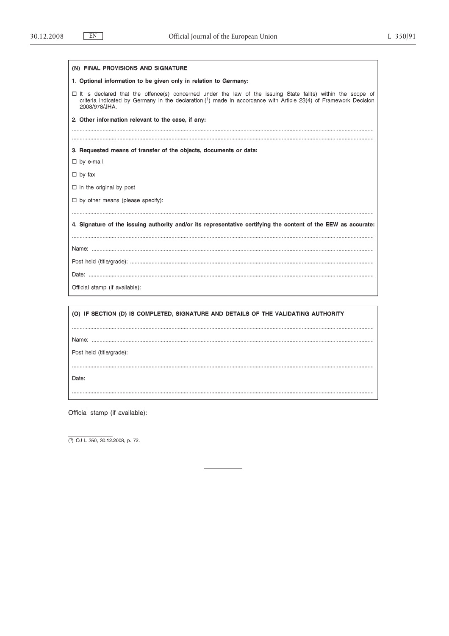| (N) FINAL PROVISIONS AND SIGNATURE                                                                                                                                                                                                                        |
|-----------------------------------------------------------------------------------------------------------------------------------------------------------------------------------------------------------------------------------------------------------|
| 1. Optional information to be given only in relation to Germany:                                                                                                                                                                                          |
| $\Box$ It is declared that the offence(s) concerned under the law of the issuing State fall(s) within the scope of<br>criteria indicated by Germany in the declaration $(1)$ made in accordance with Article 23(4) of Framework Decision<br>2008/978/JHA. |
| 2. Other information relevant to the case, if any:                                                                                                                                                                                                        |
|                                                                                                                                                                                                                                                           |
| 3. Requested means of transfer of the objects, documents or data:                                                                                                                                                                                         |
| $\Box$ by e-mail                                                                                                                                                                                                                                          |
| $\Box$ by fax                                                                                                                                                                                                                                             |
| $\Box$ in the original by post                                                                                                                                                                                                                            |
| $\Box$ by other means (please specify):                                                                                                                                                                                                                   |
| 4. Signature of the issuing authority and/or its representative certifying the content of the EEW as accurate:                                                                                                                                            |
|                                                                                                                                                                                                                                                           |
|                                                                                                                                                                                                                                                           |
|                                                                                                                                                                                                                                                           |
|                                                                                                                                                                                                                                                           |
| Official stamp (if available):                                                                                                                                                                                                                            |
|                                                                                                                                                                                                                                                           |
| (0) IF SECTION (D) IS COMPLETED. SIGNATURE AND DETAILS OF THE VALIDATING ALITHORITY                                                                                                                                                                       |

COMPLETED, SIGNATURE AND DETAILS OF THE VALIDATING AUTHORITY (ט  $\cdots$ Post held (title/grade): Date: 

Official stamp (if available):

 $(1)$  OJ L 350, 30.12.2008, p. 72.